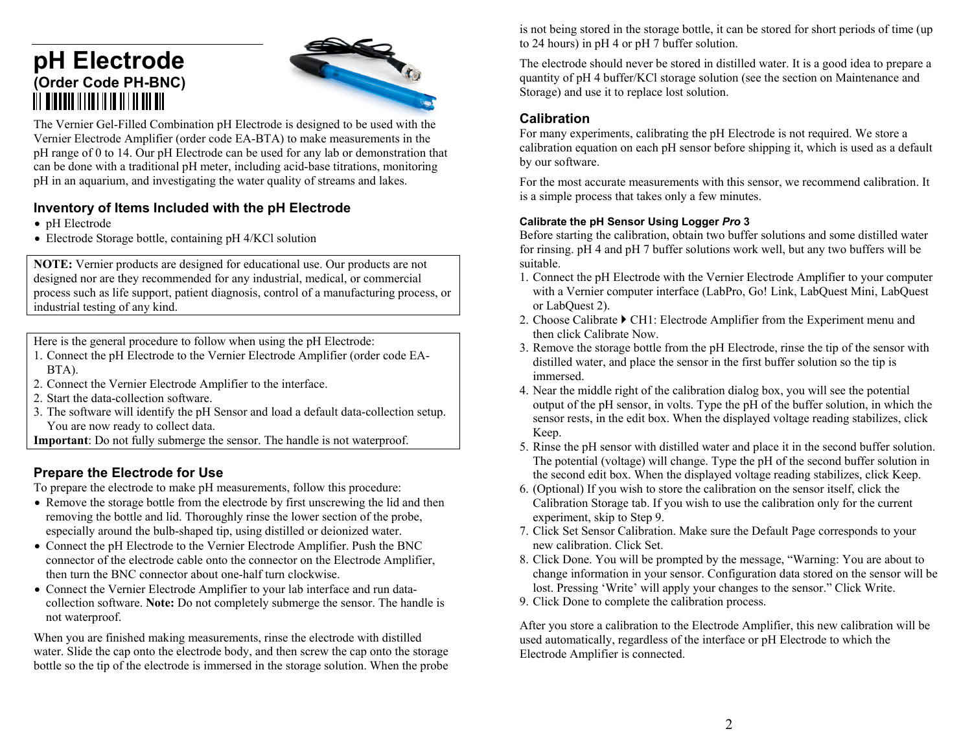# **pH Electrode (Order Code PH-BNC)**



The Vernier Gel-Filled Combination pH Electrode is designed to be used with the Vernier Electrode Amplifier (order code EA-BTA) to make measurements in the pH range of 0 to 14. Our pH Electrode can be used for any lab or demonstration that can be done with a traditional pH meter, including acid-base titrations, monitoring pH in an aquarium, and investigating the water quality of streams and lakes.

### **Inventory of Items Included with the pH Electrode**

- pH Electrode
- Electrode Storage bottle, containing pH 4/KCl solution

**NOTE:** Vernier products are designed for educational use. Our products are not designed nor are they recommended for any industrial, medical, or commercial process such as life support, patient diagnosis, control of a manufacturing process, or industrial testing of any kind.

Here is the general procedure to follow when using the pH Electrode:

- 1. Connect the pH Electrode to the Vernier Electrode Amplifier (order code EA-BTA).
- 2. Connect the Vernier Electrode Amplifier to the interface.
- 2. Start the data-collection software.
- 3. The software will identify the pH Sensor and load a default data-collection setup. You are now ready to collect data.

**Important**: Do not fully submerge the sensor. The handle is not waterproof.

## **Prepare the Electrode for Use**

To prepare the electrode to make pH measurements, follow this procedure:

- Remove the storage bottle from the electrode by first unscrewing the lid and then removing the bottle and lid. Thoroughly rinse the lower section of the probe, especially around the bulb-shaped tip, using distilled or deionized water.
- Connect the pH Electrode to the Vernier Electrode Amplifier. Push the BNC connector of the electrode cable onto the connector on the Electrode Amplifier, then turn the BNC connector about one-half turn clockwise.
- Connect the Vernier Electrode Amplifier to your lab interface and run datacollection software. **Note:** Do not completely submerge the sensor. The handle is not waterproof.

When you are finished making measurements, rinse the electrode with distilled water. Slide the cap onto the electrode body, and then screw the cap onto the storage bottle so the tip of the electrode is immersed in the storage solution. When the probe is not being stored in the storage bottle, it can be stored for short periods of time (up to 24 hours) in pH 4 or pH 7 buffer solution.

The electrode should never be stored in distilled water. It is a good idea to prepare a quantity of pH 4 buffer/KCl storage solution (see the section on Maintenance and Storage) and use it to replace lost solution.

#### **Calibration**

For many experiments, calibrating the pH Electrode is not required. We store a calibration equation on each pH sensor before shipping it, which is used as a default by our software.

For the most accurate measurements with this sensor, we recommend calibration. It is a simple process that takes only a few minutes.

#### **Calibrate the pH Sensor Using Logger** *Pro* **3**

Before starting the calibration, obtain two buffer solutions and some distilled water for rinsing. pH 4 and pH 7 buffer solutions work well, but any two buffers will be suitable.

- 1. Connect the pH Electrode with the Vernier Electrode Amplifier to your computer with a Vernier computer interface (LabPro, Go! Link, LabQuest Mini, LabQuest or LabQuest 2).
- 2. Choose Calibrate  $\blacktriangleright$  CH1: Electrode Amplifier from the Experiment menu and then click Calibrate Now.
- 3. Remove the storage bottle from the pH Electrode, rinse the tip of the sensor with distilled water, and place the sensor in the first buffer solution so the tip is immersed.
- 4. Near the middle right of the calibration dialog box, you will see the potential output of the pH sensor, in volts. Type the pH of the buffer solution, in which the sensor rests, in the edit box. When the displayed voltage reading stabilizes, click Keep.
- 5. Rinse the pH sensor with distilled water and place it in the second buffer solution. The potential (voltage) will change. Type the pH of the second buffer solution in the second edit box. When the displayed voltage reading stabilizes, click Keep.
- 6. (Optional) If you wish to store the calibration on the sensor itself, click the Calibration Storage tab. If you wish to use the calibration only for the current experiment, skip to Step 9.
- 7. Click Set Sensor Calibration. Make sure the Default Page corresponds to your new calibration. Click Set.
- 8. Click Done. You will be prompted by the message, "Warning: You are about to change information in your sensor. Configuration data stored on the sensor will be lost. Pressing 'Write' will apply your changes to the sensor." Click Write.
- 9. Click Done to complete the calibration process.

After you store a calibration to the Electrode Amplifier, this new calibration will be used automatically, regardless of the interface or pH Electrode to which the Electrode Amplifier is connected.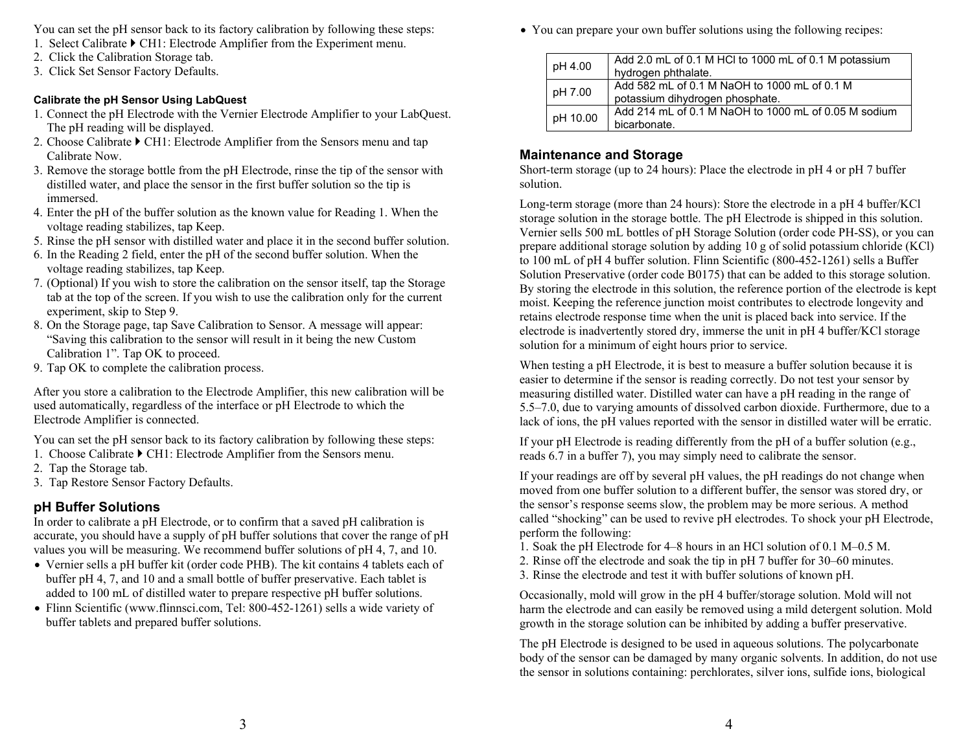You can set the pH sensor back to its factory calibration by following these steps:

- 1. Select Calibrate CH1: Electrode Amplifier from the Experiment menu.
- 2. Click the Calibration Storage tab.
- 3. Click Set Sensor Factory Defaults.

#### **Calibrate the pH Sensor Using LabQuest**

- 1. Connect the pH Electrode with the Vernier Electrode Amplifier to your LabQuest. The pH reading will be displayed.
- 2. Choose Calibrate  $\blacktriangleright$  CH1: Electrode Amplifier from the Sensors menu and tap Calibrate Now.
- 3. Remove the storage bottle from the pH Electrode, rinse the tip of the sensor with distilled water, and place the sensor in the first buffer solution so the tip is immersed.
- 4. Enter the pH of the buffer solution as the known value for Reading 1. When the voltage reading stabilizes, tap Keep.
- 5. Rinse the pH sensor with distilled water and place it in the second buffer solution.
- 6. In the Reading 2 field, enter the pH of the second buffer solution. When the voltage reading stabilizes, tap Keep.
- 7. (Optional) If you wish to store the calibration on the sensor itself, tap the Storage tab at the top of the screen. If you wish to use the calibration only for the current experiment, skip to Step 9.
- 8. On the Storage page, tap Save Calibration to Sensor. A message will appear: "Saving this calibration to the sensor will result in it being the new Custom Calibration 1". Tap OK to proceed.
- 9. Tap OK to complete the calibration process.

After you store a calibration to the Electrode Amplifier, this new calibration will be used automatically, regardless of the interface or pH Electrode to which the Electrode Amplifier is connected.

You can set the pH sensor back to its factory calibration by following these steps:

- 1. Choose Calibrate  $\triangleright$  CH1: Electrode Amplifier from the Sensors menu.
- 2. Tap the Storage tab.
- 3. Tap Restore Sensor Factory Defaults.

### **pH Buffer Solutions**

In order to calibrate a pH Electrode, or to confirm that a saved pH calibration is accurate, you should have a supply of pH buffer solutions that cover the range of pH values you will be measuring. We recommend buffer solutions of pH 4, 7, and 10.

- Vernier sells a pH buffer kit (order code PHB). The kit contains 4 tablets each of buffer pH 4, 7, and 10 and a small bottle of buffer preservative. Each tablet is added to 100 mL of distilled water to prepare respective pH buffer solutions.
- Flinn Scientific (www.flinnsci.com, Tel: 800-452-1261) sells a wide variety of buffer tablets and prepared buffer solutions.

You can prepare your own buffer solutions using the following recipes:

| pH 4.00  | Add 2.0 mL of 0.1 M HCl to 1000 mL of 0.1 M potassium<br>hydrogen phthalate.    |
|----------|---------------------------------------------------------------------------------|
| pH 7.00  | Add 582 mL of 0.1 M NaOH to 1000 mL of 0.1 M<br>potassium dihydrogen phosphate. |
| pH 10.00 | Add 214 mL of 0.1 M NaOH to 1000 mL of 0.05 M sodium<br>bicarbonate.            |

### **Maintenance and Storage**

Short-term storage (up to 24 hours): Place the electrode in pH 4 or pH 7 buffer solution.

Long-term storage (more than 24 hours): Store the electrode in a pH 4 buffer/KCl storage solution in the storage bottle. The pH Electrode is shipped in this solution. Vernier sells 500 mL bottles of pH Storage Solution (order code PH-SS), or you can prepare additional storage solution by adding 10 g of solid potassium chloride (KCl) to 100 mL of pH 4 buffer solution. Flinn Scientific (800-452-1261) sells a Buffer Solution Preservative (order code B0175) that can be added to this storage solution. By storing the electrode in this solution, the reference portion of the electrode is kept moist. Keeping the reference junction moist contributes to electrode longevity and retains electrode response time when the unit is placed back into service. If the electrode is inadvertently stored dry, immerse the unit in pH 4 buffer/KCl storage solution for a minimum of eight hours prior to service.

When testing a pH Electrode, it is best to measure a buffer solution because it is easier to determine if the sensor is reading correctly. Do not test your sensor by measuring distilled water. Distilled water can have a pH reading in the range of 5.5–7.0, due to varying amounts of dissolved carbon dioxide. Furthermore, due to a lack of ions, the pH values reported with the sensor in distilled water will be erratic.

If your pH Electrode is reading differently from the pH of a buffer solution (e.g., reads 6.7 in a buffer 7), you may simply need to calibrate the sensor.

If your readings are off by several pH values, the pH readings do not change when moved from one buffer solution to a different buffer, the sensor was stored dry, or the sensor's response seems slow, the problem may be more serious. A method called "shocking" can be used to revive pH electrodes. To shock your pH Electrode, perform the following:

- 1. Soak the pH Electrode for 4–8 hours in an HCl solution of 0.1 M–0.5 M.
- 2. Rinse off the electrode and soak the tip in pH 7 buffer for 30–60 minutes.
- 3. Rinse the electrode and test it with buffer solutions of known pH.

Occasionally, mold will grow in the pH 4 buffer/storage solution. Mold will not harm the electrode and can easily be removed using a mild detergent solution. Mold growth in the storage solution can be inhibited by adding a buffer preservative.

The pH Electrode is designed to be used in aqueous solutions. The polycarbonate body of the sensor can be damaged by many organic solvents. In addition, do not use the sensor in solutions containing: perchlorates, silver ions, sulfide ions, biological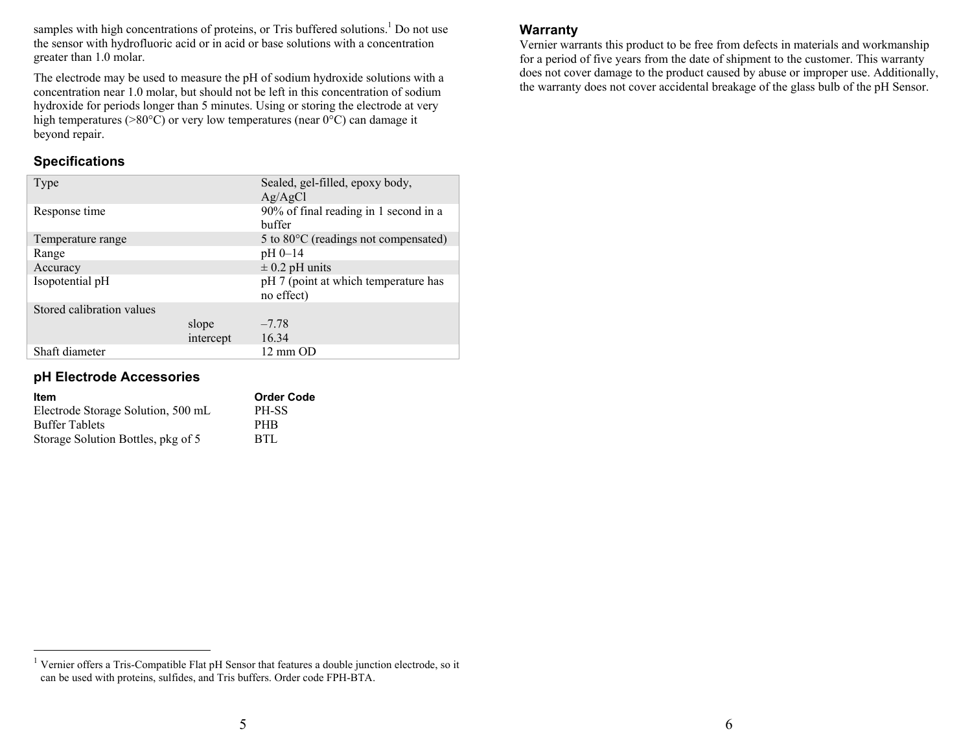samples with high concentrations of proteins, or Tris buffered solutions.<sup>1</sup> Do not use the sensor with hydrofluoric acid or in acid or base solutions with a concentration greater than 1.0 molar.

The electrode may be used to measure the pH of sodium hydroxide solutions with a concentration near 1.0 molar, but should not be left in this concentration of sodium hydroxide for periods longer than 5 minutes. Using or storing the electrode at very high temperatures (>80°C) or very low temperatures (near 0°C) can damage it beyond repair.

### **Specifications**

| Type                      |           | Sealed, gel-filled, epoxy body,<br>Ag/AgCl         |
|---------------------------|-----------|----------------------------------------------------|
| Response time             |           | 90% of final reading in 1 second in a<br>buffer    |
| Temperature range         |           | 5 to 80 $\degree$ C (readings not compensated)     |
| Range                     |           | pH 0-14                                            |
| Accuracy                  |           | $\pm$ 0.2 pH units                                 |
| Isopotential pH           |           | pH 7 (point at which temperature has<br>no effect) |
| Stored calibration values |           |                                                    |
|                           | slope     | $-7.78$                                            |
|                           | intercept | 16.34                                              |
| Shaft diameter            |           | 12 mm OD                                           |

#### **pH Electrode Accessories**

| Item                               | <b>Order Code</b> |
|------------------------------------|-------------------|
| Electrode Storage Solution, 500 mL | PH-SS             |
| <b>Buffer Tablets</b>              | PHB               |
| Storage Solution Bottles, pkg of 5 | BTL               |

#### <sup>1</sup> Vernier offers a Tris-Compatible Flat pH Sensor that features a double junction electrode, so it can be used with proteins, sulfides, and Tris buffers. Order code FPH-BTA.

#### **Warranty**

Vernier warrants this product to be free from defects in materials and workmanship for a period of five years from the date of shipment to the customer. This warranty does not cover damage to the product caused by abuse or improper use. Additionally, the warranty does not cover accidental breakage of the glass bulb of the pH Sensor.